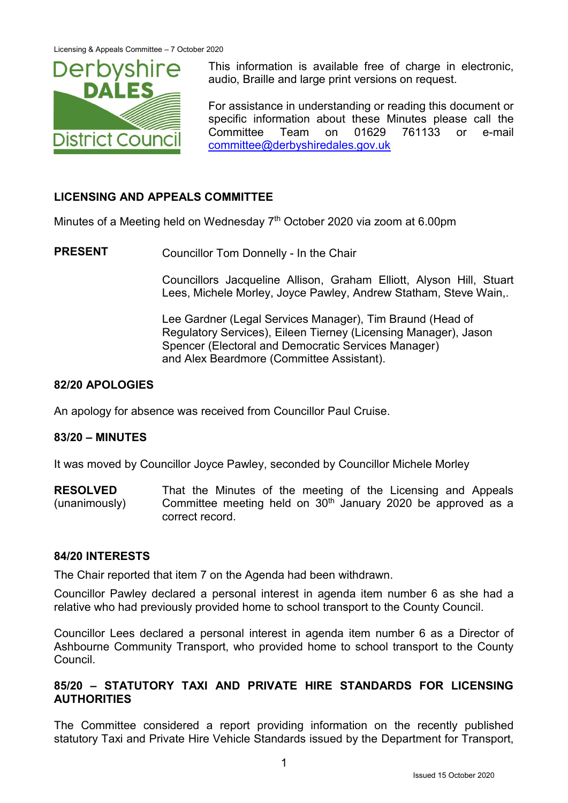

This information is available free of charge in electronic, audio, Braille and large print versions on request.

For assistance in understanding or reading this document or specific information about these Minutes please call the Committee Team on 01629 761133 or e-mail [committee@derbyshiredales.gov.uk](mailto:committee@derbyshiredales.gov.uk)

# **LICENSING AND APPEALS COMMITTEE**

Minutes of a Meeting held on Wednesday 7<sup>th</sup> October 2020 via zoom at 6.00pm

**PRESENT** Councillor Tom Donnelly - In the Chair

Councillors Jacqueline Allison, Graham Elliott, Alyson Hill, Stuart Lees, Michele Morley, Joyce Pawley, Andrew Statham, Steve Wain,.

Lee Gardner (Legal Services Manager), Tim Braund (Head of Regulatory Services), Eileen Tierney (Licensing Manager), Jason Spencer (Electoral and Democratic Services Manager) and Alex Beardmore (Committee Assistant).

# **82/20 APOLOGIES**

An apology for absence was received from Councillor Paul Cruise.

# **83/20 – MINUTES**

It was moved by Councillor Joyce Pawley, seconded by Councillor Michele Morley

**RESOLVED** (unanimously) That the Minutes of the meeting of the Licensing and Appeals Committee meeting held on 30<sup>th</sup> January 2020 be approved as a correct record.

# **84/20 INTERESTS**

The Chair reported that item 7 on the Agenda had been withdrawn.

Councillor Pawley declared a personal interest in agenda item number 6 as she had a relative who had previously provided home to school transport to the County Council.

Councillor Lees declared a personal interest in agenda item number 6 as a Director of Ashbourne Community Transport, who provided home to school transport to the County Council.

# **85/20 – STATUTORY TAXI AND PRIVATE HIRE STANDARDS FOR LICENSING AUTHORITIES**

The Committee considered a report providing information on the recently published statutory Taxi and Private Hire Vehicle Standards issued by the Department for Transport,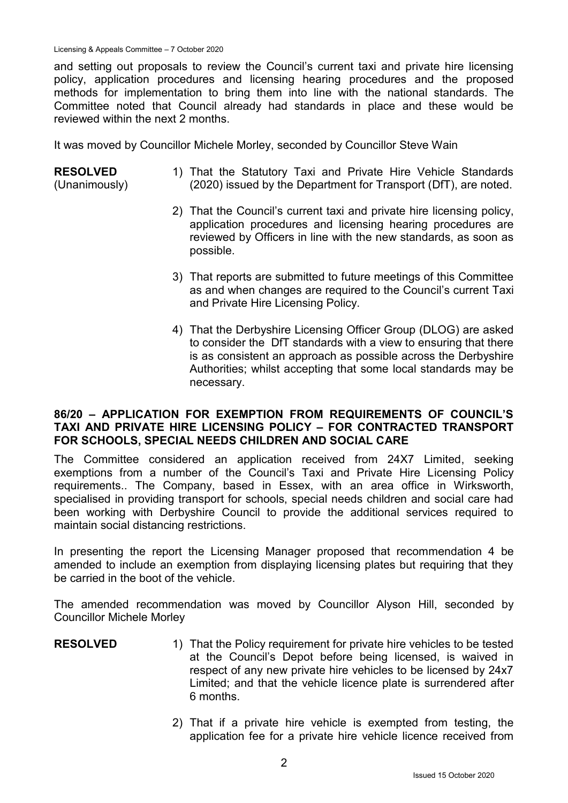and setting out proposals to review the Council's current taxi and private hire licensing policy, application procedures and licensing hearing procedures and the proposed methods for implementation to bring them into line with the national standards. The Committee noted that Council already had standards in place and these would be reviewed within the next 2 months.

It was moved by Councillor Michele Morley, seconded by Councillor Steve Wain

#### **RESOLVED**

(Unanimously)

- 1) That the Statutory Taxi and Private Hire Vehicle Standards (2020) issued by the Department for Transport (DfT), are noted.
- 2) That the Council's current taxi and private hire licensing policy, application procedures and licensing hearing procedures are reviewed by Officers in line with the new standards, as soon as possible.
- 3) That reports are submitted to future meetings of this Committee as and when changes are required to the Council's current Taxi and Private Hire Licensing Policy.
- 4) That the Derbyshire Licensing Officer Group (DLOG) are asked to consider the DfT standards with a view to ensuring that there is as consistent an approach as possible across the Derbyshire Authorities; whilst accepting that some local standards may be necessary.

### **86/20 – APPLICATION FOR EXEMPTION FROM REQUIREMENTS OF COUNCIL'S TAXI AND PRIVATE HIRE LICENSING POLICY – FOR CONTRACTED TRANSPORT FOR SCHOOLS, SPECIAL NEEDS CHILDREN AND SOCIAL CARE**

The Committee considered an application received from 24X7 Limited, seeking exemptions from a number of the Council's Taxi and Private Hire Licensing Policy requirements.. The Company, based in Essex, with an area office in Wirksworth, specialised in providing transport for schools, special needs children and social care had been working with Derbyshire Council to provide the additional services required to maintain social distancing restrictions.

In presenting the report the Licensing Manager proposed that recommendation 4 be amended to include an exemption from displaying licensing plates but requiring that they be carried in the boot of the vehicle.

The amended recommendation was moved by Councillor Alyson Hill, seconded by Councillor Michele Morley

- **RESOLVED** 1) That the Policy requirement for private hire vehicles to be tested at the Council's Depot before being licensed, is waived in respect of any new private hire vehicles to be licensed by 24x7 Limited; and that the vehicle licence plate is surrendered after 6 months.
	- 2) That if a private hire vehicle is exempted from testing, the application fee for a private hire vehicle licence received from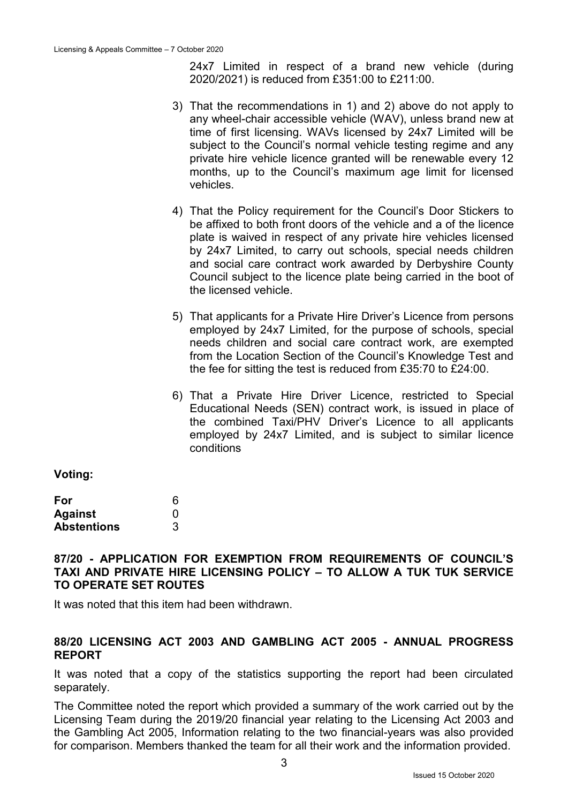24x7 Limited in respect of a brand new vehicle (during 2020/2021) is reduced from £351:00 to £211:00.

- 3) That the recommendations in 1) and 2) above do not apply to any wheel-chair accessible vehicle (WAV), unless brand new at time of first licensing. WAVs licensed by 24x7 Limited will be subject to the Council's normal vehicle testing regime and any private hire vehicle licence granted will be renewable every 12 months, up to the Council's maximum age limit for licensed vehicles.
- 4) That the Policy requirement for the Council's Door Stickers to be affixed to both front doors of the vehicle and a of the licence plate is waived in respect of any private hire vehicles licensed by 24x7 Limited, to carry out schools, special needs children and social care contract work awarded by Derbyshire County Council subject to the licence plate being carried in the boot of the licensed vehicle.
- 5) That applicants for a Private Hire Driver's Licence from persons employed by 24x7 Limited, for the purpose of schools, special needs children and social care contract work, are exempted from the Location Section of the Council's Knowledge Test and the fee for sitting the test is reduced from £35:70 to £24:00.
- 6) That a Private Hire Driver Licence, restricted to Special Educational Needs (SEN) contract work, is issued in place of the combined Taxi/PHV Driver's Licence to all applicants employed by 24x7 Limited, and is subject to similar licence conditions

**Voting:**

| For                | 6 |
|--------------------|---|
| <b>Against</b>     | O |
| <b>Abstentions</b> | 3 |

# **87/20 - APPLICATION FOR EXEMPTION FROM REQUIREMENTS OF COUNCIL'S TAXI AND PRIVATE HIRE LICENSING POLICY – TO ALLOW A TUK TUK SERVICE TO OPERATE SET ROUTES**

It was noted that this item had been withdrawn.

### **88/20 LICENSING ACT 2003 AND GAMBLING ACT 2005 - ANNUAL PROGRESS REPORT**

It was noted that a copy of the statistics supporting the report had been circulated separately.

The Committee noted the report which provided a summary of the work carried out by the Licensing Team during the 2019/20 financial year relating to the Licensing Act 2003 and the Gambling Act 2005, Information relating to the two financial-years was also provided for comparison. Members thanked the team for all their work and the information provided.